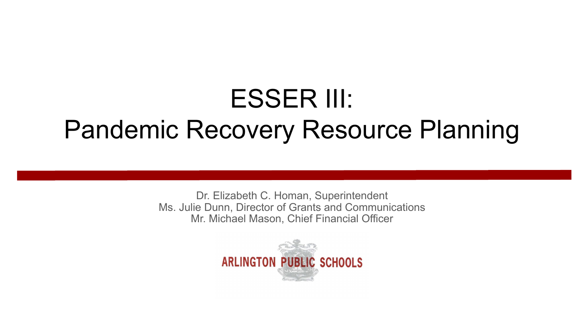# ESSER III: Pandemic Recovery Resource Planning

Dr. Elizabeth C. Homan, Superintendent Ms. Julie Dunn, Director of Grants and Communications Mr. Michael Mason, Chief Financial Officer

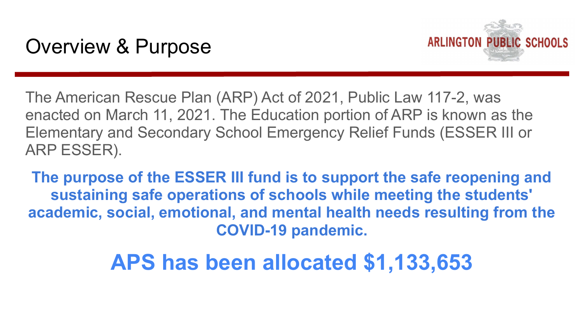

The American Rescue Plan (ARP) Act of 2021, Public Law 117-2, was enacted on March 11, 2021. The Education portion of ARP is known as the Elementary and Secondary School Emergency Relief Funds (ESSER III or ARP ESSER).

**The purpose of the ESSER III fund is to support the safe reopening and sustaining safe operations of schools while meeting the students' academic, social, emotional, and mental health needs resulting from the COVID-19 pandemic.**

### **APS has been allocated \$1,133,653**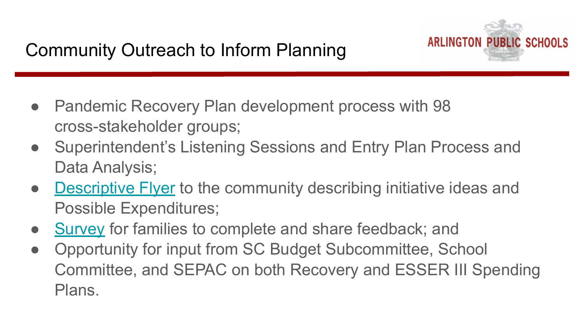- Pandemic Recovery Plan development process with 98 cross-stakeholder groups;
- Superintendent's Listening Sessions and Entry Plan Process and Data Analysis;
- [Descriptive Flyer](https://docs.google.com/document/d/1hUypt1GkF0abuvqMkjQc35Qu2Wu2ig3BHVp_4DJXZJE/edit?usp=sharing) to the community describing initiative ideas and Possible Expenditures;
- [Survey](https://docs.google.com/forms/d/e/1FAIpQLSc7E8I0nffb2cxOKsNkeUx_a-g7USbGS3KMYmEKhp5AlowNwQ/viewform?usp=sf_link) for families to complete and share feedback; and
- Opportunity for input from SC Budget Subcommittee, School Committee, and SEPAC on both Recovery and ESSER III Spending Plans.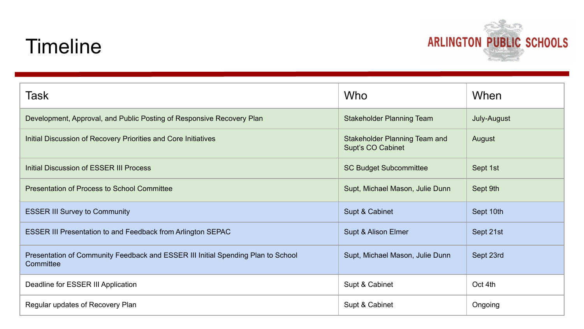#### **Timeline**



| <b>Task</b>                                                                                   | Who                                                | When        |
|-----------------------------------------------------------------------------------------------|----------------------------------------------------|-------------|
| Development, Approval, and Public Posting of Responsive Recovery Plan                         | Stakeholder Planning Team                          | July-August |
| Initial Discussion of Recovery Priorities and Core Initiatives                                | Stakeholder Planning Team and<br>Supt's CO Cabinet | August      |
| Initial Discussion of ESSER III Process                                                       | <b>SC Budget Subcommittee</b>                      | Sept 1st    |
| Presentation of Process to School Committee                                                   | Supt, Michael Mason, Julie Dunn                    | Sept 9th    |
| <b>ESSER III Survey to Community</b>                                                          | Supt & Cabinet                                     | Sept 10th   |
| ESSER III Presentation to and Feedback from Arlington SEPAC                                   | Supt & Alison Elmer                                | Sept 21st   |
| Presentation of Community Feedback and ESSER III Initial Spending Plan to School<br>Committee | Supt, Michael Mason, Julie Dunn                    | Sept 23rd   |
| Deadline for ESSER III Application                                                            | Supt & Cabinet                                     | Oct 4th     |
| Regular updates of Recovery Plan                                                              | Supt & Cabinet                                     | Ongoing     |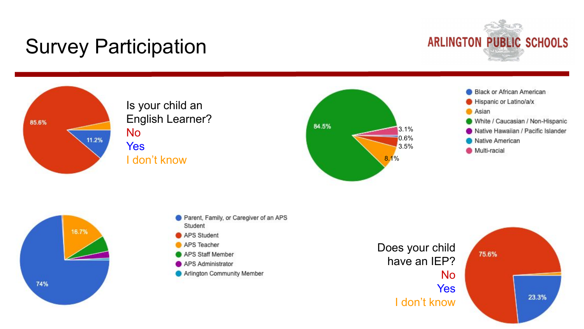## Survey Participation





Is your child an English Learner? No Yes I don't know









- APS Student
- APS Teacher
- APS Staff Member
- APS Administrator
- Arlington Community Member

Does your child have an IEP? No **Yes** I don't know

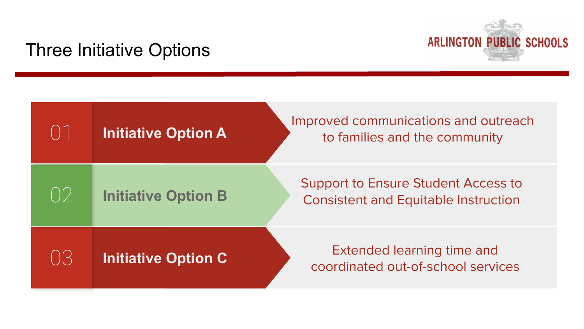# **ARLINGTON PUBLIC SCHOOLS**

#### Three Initiative Options

| $(\ )^{\top}$                                        | <b>Initiative Option A</b> | Improved communications and outreach<br>to families and the community              |
|------------------------------------------------------|----------------------------|------------------------------------------------------------------------------------|
| $\left(\begin{array}{c} \end{array}\right)^{\prime}$ | <b>Initiative Option B</b> | Support to Ensure Student Access to<br><b>Consistent and Equitable Instruction</b> |
| $(\ )^{\prime}$ .                                    | <b>Initiative Option C</b> | <b>Extended learning time and</b><br>coordinated out-of-school services            |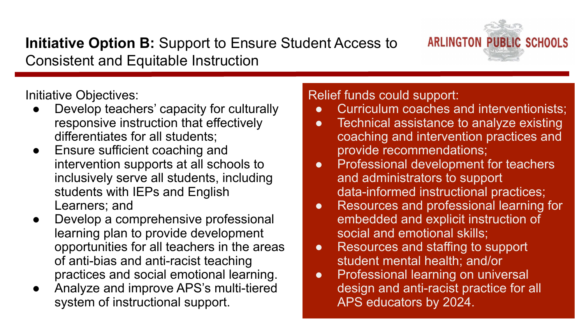#### **Initiative Option B:** Support to Ensure Student Access to Consistent and Equitable Instruction



Initiative Objectives:

- Develop teachers' capacity for culturally responsive instruction that effectively differentiates for all students;
- Ensure sufficient coaching and intervention supports at all schools to inclusively serve all students, including students with IEPs and English Learners; and
- Develop a comprehensive professional learning plan to provide development opportunities for all teachers in the areas of anti-bias and anti-racist teaching practices and social emotional learning.
- Analyze and improve APS's multi-tiered system of instructional support.

Relief funds could support:

- Curriculum coaches and interventionists;
- Technical assistance to analyze existing coaching and intervention practices and provide recommendations;
- Professional development for teachers and administrators to support data-informed instructional practices;
- Resources and professional learning for embedded and explicit instruction of social and emotional skills;
- Resources and staffing to support student mental health; and/or
- Professional learning on universal design and anti-racist practice for all APS educators by 2024.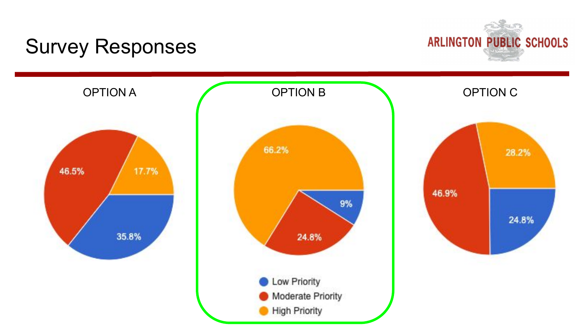#### Survey Responses



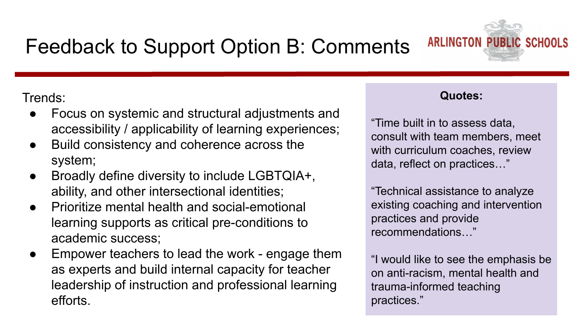

Trends:

- Focus on systemic and structural adjustments and accessibility / applicability of learning experiences;
- Build consistency and coherence across the system;
- Broadly define diversity to include LGBTQIA+, ability, and other intersectional identities;
- Prioritize mental health and social-emotional learning supports as critical pre-conditions to academic success;
- Empower teachers to lead the work engage them as experts and build internal capacity for teacher leadership of instruction and professional learning efforts.

#### **Quotes:**

"Time built in to assess data, consult with team members, meet with curriculum coaches, review data, reflect on practices…"

"Technical assistance to analyze existing coaching and intervention practices and provide recommendations…"

"I would like to see the emphasis be on anti-racism, mental health and trauma-informed teaching practices."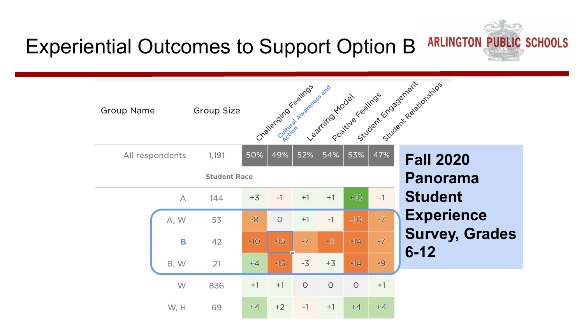

#### Experiential Outcomes to Support Option B

| <b>Group Name</b> | Group Size          |       | Challenging Feelings | Cuttitude Awareness and |         |         |      | Learning river Eastings Strandard Relationships |
|-------------------|---------------------|-------|----------------------|-------------------------|---------|---------|------|-------------------------------------------------|
| All respondents   | 1,191               | 50%   | 49%                  | 52%                     |         |         |      | <b>Fall 2020</b>                                |
|                   | <b>Student Race</b> |       |                      |                         |         |         |      | Panorama                                        |
| $\forall$         | 144                 | $+3$  | $-1$                 | $+1$                    | $+1$    | $+10$   | $-1$ | <b>Student</b>                                  |
| A, W              | 53                  | $-8$  | $\circ$              | $+1$                    | $-1$    | $-10$   | $-7$ | <b>Experience</b>                               |
| B                 | 42                  | $-10$ | $-15$                | $-7$                    | $-11$   | $-14$   | $-7$ | <b>Survey, Grades</b>                           |
| B, W              | 21                  | $+4$  | $-13$                | $-3$                    | $+3$    | $-14$   | $-9$ | $6 - 12$                                        |
| W                 | 836                 | $+1$  | $+1$                 | $\circ$                 | $\circ$ | $\circ$ | $+1$ |                                                 |
| W, H              | 69                  | $+4$  | $+2$                 | $-1$                    | $+1$    | $+4$    | $+4$ |                                                 |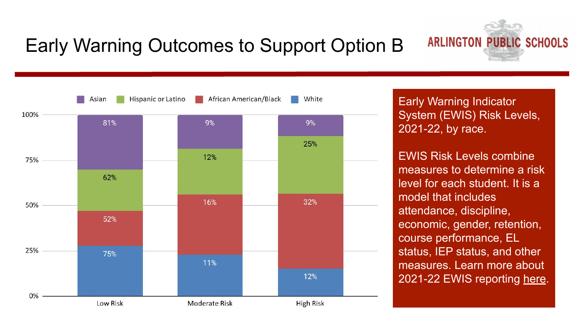#### Early Warning Outcomes to Support Option B



Early Warning Indicator System (EWIS) Risk Levels, 2021-22, by race.

EWIS Risk Levels combine measures to determine a risk level for each student. It is a model that includes attendance, discipline, economic, gender, retention, course performance, EL status, IEP status, and other measures. Learn more about 2021-22 EWIS reporting [here](http://t.ly/yFkG).

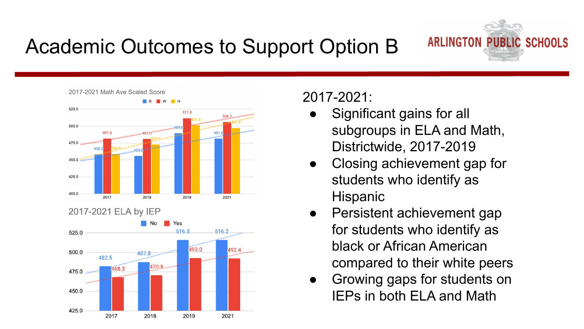## Academic Outcomes to Support Option B







#### 2017-2021:

- Significant gains for all subgroups in ELA and Math, Districtwide, 2017-2019
- Closing achievement gap for students who identify as Hispanic
- Persistent achievement gap for students who identify as black or African American compared to their white peers
- Growing gaps for students on IEPs in both ELA and Math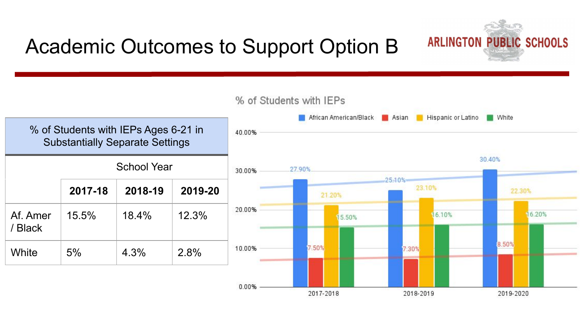### Academic Outcomes to Support Option B

% of Students with IEPs African American/Black **Asian** Hispanic or Latino **White** % of Students with IEPs Ages 6-21 in 40 00% Substantially Separate Settings 30.40% School Year 27.90% 30 00%  $25.10%$ 23.10% **2017-18 2018-19 2019-20** 22.30% 21.20% 20.00% Af. Amer 15.5% 18.4% 12.3% 16.10% 16.20% 15.50% / Black 8.50% 7.50% 10.00% 7.30% White 5% 4.3% 2.8% 0.00% 2017-2018 2018-2019 2019-2020

# **ARLINGTON PUBLIC SCHOOLS**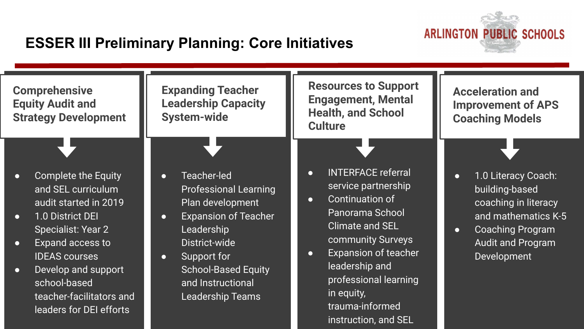

#### **ESSER III Preliminary Planning: Core Initiatives**

| <b>Expanding Teacher</b><br><b>Comprehensive</b><br><b>Leadership Capacity</b><br><b>Equity Audit and</b><br><b>System-wide</b><br><b>Strategy Development</b>                                                                                                                                                           |                                                                                                                                                                                                                                                                   | <b>Resources to Support</b><br><b>Engagement, Mental</b><br><b>Health, and School</b><br><b>Culture</b>                                                                                                                                                                                                         | <b>Acceleration and</b><br><b>Improvement of APS</b><br><b>Coaching Models</b>                                                                                                       |  |  |
|--------------------------------------------------------------------------------------------------------------------------------------------------------------------------------------------------------------------------------------------------------------------------------------------------------------------------|-------------------------------------------------------------------------------------------------------------------------------------------------------------------------------------------------------------------------------------------------------------------|-----------------------------------------------------------------------------------------------------------------------------------------------------------------------------------------------------------------------------------------------------------------------------------------------------------------|--------------------------------------------------------------------------------------------------------------------------------------------------------------------------------------|--|--|
| <b>Complete the Equity</b><br>$\bullet$<br>and SEL curriculum<br>audit started in 2019<br>1.0 District DEI<br>$\bullet$<br><b>Specialist: Year 2</b><br>Expand access to<br>$\bullet$<br><b>IDEAS</b> courses<br>Develop and support<br>$\bullet$<br>school-based<br>teacher-facilitators and<br>leaders for DEI efforts | Teacher-led<br>$\bullet$<br><b>Professional Learning</b><br>Plan development<br><b>Expansion of Teacher</b><br>$\bullet$<br>Leadership<br>District-wide<br>Support for<br>$\bullet$<br><b>School-Based Equity</b><br>and Instructional<br><b>Leadership Teams</b> | <b>INTERFACE referral</b><br>$\bullet$<br>service partnership<br>Continuation of<br>$\bullet$<br>Panorama School<br><b>Climate and SEL</b><br>community Surveys<br><b>Expansion of teacher</b><br>$\bullet$<br>leadership and<br>professional learning<br>in equity,<br>trauma-informed<br>instruction, and SEL | 1.0 Literacy Coach:<br>$\bullet$<br>building-based<br>coaching in literacy<br>and mathematics K-5<br><b>Coaching Program</b><br>$\bullet$<br><b>Audit and Program</b><br>Development |  |  |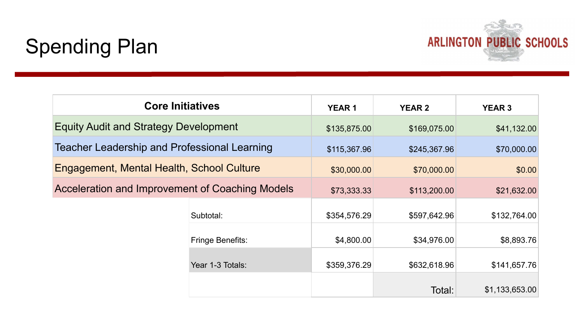

#### Spending Plan

| <b>Core Initiatives</b>                         |                  | <b>YEAR1</b> | <b>YEAR 2</b> | <b>YEAR 3</b>  |
|-------------------------------------------------|------------------|--------------|---------------|----------------|
| <b>Equity Audit and Strategy Development</b>    | \$135,875.00     | \$169,075.00 | \$41,132.00   |                |
| Teacher Leadership and Professional Learning    |                  | \$115,367.96 | \$245,367.96  | \$70,000.00    |
| Engagement, Mental Health, School Culture       |                  | \$30,000.00  | \$70,000.00   | \$0.00         |
| Acceleration and Improvement of Coaching Models | \$73,333.33      | \$113,200.00 | \$21,632.00   |                |
|                                                 | Subtotal:        | \$354,576.29 | \$597,642.96  | \$132,764.00   |
|                                                 | Fringe Benefits: |              | \$34,976.00   | \$8,893.76     |
| Year 1-3 Totals:                                |                  | \$359,376.29 | \$632,618.96  | \$141,657.76   |
|                                                 |                  |              | Total:        | \$1,133,653.00 |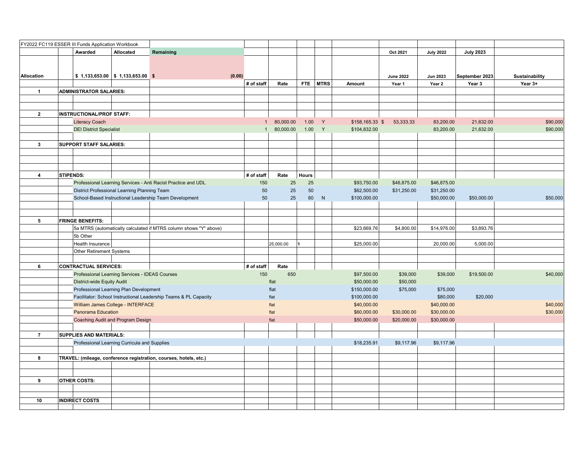|                         |                  | FY2022 FC119 ESSER III Funds Application Workbook |                                                |                                                                   |              |           |              |             |                 |                  |                  |                  |                |
|-------------------------|------------------|---------------------------------------------------|------------------------------------------------|-------------------------------------------------------------------|--------------|-----------|--------------|-------------|-----------------|------------------|------------------|------------------|----------------|
|                         |                  | Awarded                                           | Allocated                                      | Remaining                                                         |              |           |              |             |                 | Oct 2021         | <b>July 2022</b> | <b>July 2023</b> |                |
|                         |                  |                                                   |                                                |                                                                   |              |           |              |             |                 |                  |                  |                  |                |
|                         |                  |                                                   |                                                |                                                                   |              |           |              |             |                 |                  |                  |                  |                |
| <b>Allocation</b>       |                  |                                                   | $$1,133,653.00 \mid $1,133,653.00 \mid $$      | (0.00)                                                            |              |           |              |             |                 | <b>June 2022</b> | <b>Jun 2023</b>  | September 2023   | Sustainability |
|                         |                  |                                                   |                                                |                                                                   | # of staff   | Rate      | FTE          | <b>MTRS</b> | Amount          | Year 1           | Year 2           | Year 3           | Year 3+        |
| $\mathbf{1}$            |                  | <b>ADMINISTRATOR SALARIES:</b>                    |                                                |                                                                   |              |           |              |             |                 |                  |                  |                  |                |
|                         |                  |                                                   |                                                |                                                                   |              |           |              |             |                 |                  |                  |                  |                |
|                         |                  |                                                   |                                                |                                                                   |              |           |              |             |                 |                  |                  |                  |                |
| $\overline{2}$          |                  | <b>INSTRUCTIONAL/PROF STAFF:</b>                  |                                                |                                                                   |              |           |              |             |                 |                  |                  |                  |                |
|                         |                  | <b>Literacy Coach</b>                             |                                                |                                                                   | $\mathbf{1}$ | 80,000.00 | 1.00         | Y           | \$158,165.33 \$ | 53,333.33        | 83,200.00        | 21,632.00        | \$90,000       |
|                         |                  | <b>DEI District Specialist</b>                    |                                                |                                                                   |              | 80,000.00 | 1.00         | Y           | \$104,832.00    |                  | 83,200.00        | 21,632.00        | \$90,000       |
|                         |                  |                                                   |                                                |                                                                   |              |           |              |             |                 |                  |                  |                  |                |
| $\mathbf{3}$            |                  | SUPPORT STAFF SALARIES:                           |                                                |                                                                   |              |           |              |             |                 |                  |                  |                  |                |
|                         |                  |                                                   |                                                |                                                                   |              |           |              |             |                 |                  |                  |                  |                |
|                         |                  |                                                   |                                                |                                                                   |              |           |              |             |                 |                  |                  |                  |                |
|                         |                  |                                                   |                                                |                                                                   |              |           |              |             |                 |                  |                  |                  |                |
| $\overline{\mathbf{4}}$ | <b>STIPENDS:</b> |                                                   |                                                |                                                                   | # of staff   | Rate      | <b>Hours</b> |             |                 |                  |                  |                  |                |
|                         |                  |                                                   |                                                | Professional Learning Services - Anti Racist Practice and UDL     | 150          | 25        | 25           |             | \$93,750.00     | \$46,875.00      | \$46,875.00      |                  |                |
|                         |                  |                                                   | District Professional Learning Planning Team   |                                                                   | 50           | 25        | 50           |             | \$62,500.00     | \$31,250.00      | \$31,250.00      |                  |                |
|                         |                  |                                                   |                                                | School-Based Instructional Leadership Team Development            | 50           | 25        | 80           | N           | \$100,000.00    |                  | \$50,000.00      | \$50,000.00      | \$50,000       |
|                         |                  |                                                   |                                                |                                                                   |              |           |              |             |                 |                  |                  |                  |                |
|                         |                  |                                                   |                                                |                                                                   |              |           |              |             |                 |                  |                  |                  |                |
| 5                       |                  | <b>FRINGE BENEFITS:</b>                           |                                                |                                                                   |              |           |              |             |                 |                  |                  |                  |                |
|                         |                  |                                                   |                                                | 5a MTRS (automatically calculated if MTRS column shows "Y" above) |              |           |              |             | \$23,669.76     | \$4,800.00       | \$14,976.00      | \$3,893.76       |                |
|                         |                  | 5b Other                                          |                                                |                                                                   |              |           |              |             |                 |                  |                  |                  |                |
|                         |                  | Health Insurance                                  |                                                |                                                                   |              | 25,000.00 |              |             | \$25,000.00     |                  | 20,000.00        | 5,000.00         |                |
|                         |                  | Other Retirement Systems                          |                                                |                                                                   |              |           |              |             |                 |                  |                  |                  |                |
|                         |                  |                                                   |                                                |                                                                   |              |           |              |             |                 |                  |                  |                  |                |
| 6                       |                  | <b>CONTRACTUAL SERVICES:</b>                      |                                                |                                                                   | # of staff   | Rate      |              |             |                 |                  |                  |                  |                |
|                         |                  |                                                   | Professional Learning Services - IDEAS Courses |                                                                   | 150          | 650       |              |             | \$97,500.00     | \$39,000         | \$39,000         | \$19,500.00      | \$40,000       |
|                         |                  | <b>District-wide Equity Audit</b>                 |                                                |                                                                   |              | flat      |              |             | \$50,000.00     | \$50,000         |                  |                  |                |
|                         |                  |                                                   | Professional Learning Plan Development         |                                                                   |              | flat      |              |             | \$150,000.00    | \$75,000         | \$75,000         |                  |                |
|                         |                  |                                                   |                                                | Facilitator: School Instructional Leadership Teams & PL Capacity  |              | flat      |              |             | \$100,000.00    |                  | \$80,000         | \$20,000         |                |
|                         |                  |                                                   | William James College - INTERFACE              |                                                                   |              | flat      |              |             | \$40,000.00     |                  | \$40,000.00      |                  | \$40,000       |
|                         |                  | <b>Panorama Education</b>                         |                                                |                                                                   |              | flat      |              |             | \$60,000.00     | \$30,000.00      | \$30,000.00      |                  | \$30,000       |
|                         |                  |                                                   | Coaching Audit and Program Design              |                                                                   |              | flat      |              |             | \$50,000.00     | \$20,000.00      | \$30,000.00      |                  |                |
|                         |                  |                                                   |                                                |                                                                   |              |           |              |             |                 |                  |                  |                  |                |
| $\overline{7}$          |                  | <b>SUPPLIES AND MATERIALS:</b>                    |                                                |                                                                   |              |           |              |             |                 |                  |                  |                  |                |
|                         |                  |                                                   | Professional Learning Curricula and Supplies   |                                                                   |              |           |              |             | \$18,235.91     | \$9,117.96       | \$9,117.96       |                  |                |
|                         |                  |                                                   |                                                |                                                                   |              |           |              |             |                 |                  |                  |                  |                |
| 8                       |                  |                                                   |                                                | TRAVEL: (mileage, conference registration, courses, hotels, etc.) |              |           |              |             |                 |                  |                  |                  |                |
|                         |                  |                                                   |                                                |                                                                   |              |           |              |             |                 |                  |                  |                  |                |
| 9                       |                  | <b>OTHER COSTS:</b>                               |                                                |                                                                   |              |           |              |             |                 |                  |                  |                  |                |
|                         |                  |                                                   |                                                |                                                                   |              |           |              |             |                 |                  |                  |                  |                |
|                         |                  |                                                   |                                                |                                                                   |              |           |              |             |                 |                  |                  |                  |                |
| 10                      |                  | <b>INDIRECT COSTS</b>                             |                                                |                                                                   |              |           |              |             |                 |                  |                  |                  |                |
|                         |                  |                                                   |                                                |                                                                   |              |           |              |             |                 |                  |                  |                  |                |